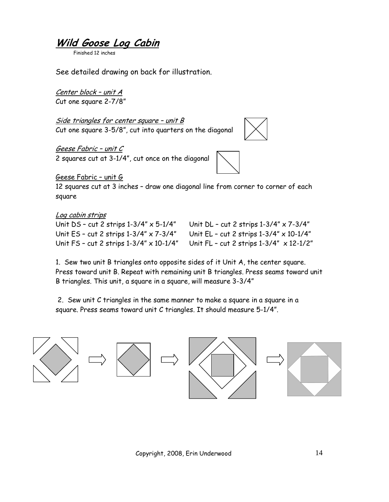**Wild Goose Log Cabin**

Finished 12 inches

See detailed drawing on back for illustration.

<u>Center block – unit A</u> Cut one square 2-7/8"

Side triangles for center square – unit B Cut one square 3-5/8", cut into quarters on the diagonal

Geese Fabric – unit C 2 squares cut at 3-1/4", cut once on the diagonal



Geese Fabric – unit G

12 squares cut at 3 inches – draw one diagonal line from corner to corner of each square

## Log cabin strips

Unit FS – cut 2 strips 1-3/4" x 10-1/4" Unit FL – cut 2 strips 1-3/4" x 12-1/2"

Unit DS – cut 2 strips 1-3/4" x 5-1/4" Unit DL – cut 2 strips 1-3/4" x 7-3/4" Unit ES – cut 2 strips 1-3/4" x 7-3/4" Unit EL – cut 2 strips 1-3/4" x 10-1/4"

1. Sew two unit B triangles onto opposite sides of it Unit A, the center square. Press toward unit B. Repeat with remaining unit B triangles. Press seams toward unit B triangles. This unit, a square in a square, will measure 3-3/4"

 2. Sew unit C triangles in the same manner to make a square in a square in a square. Press seams toward unit C triangles. It should measure 5-1/4".